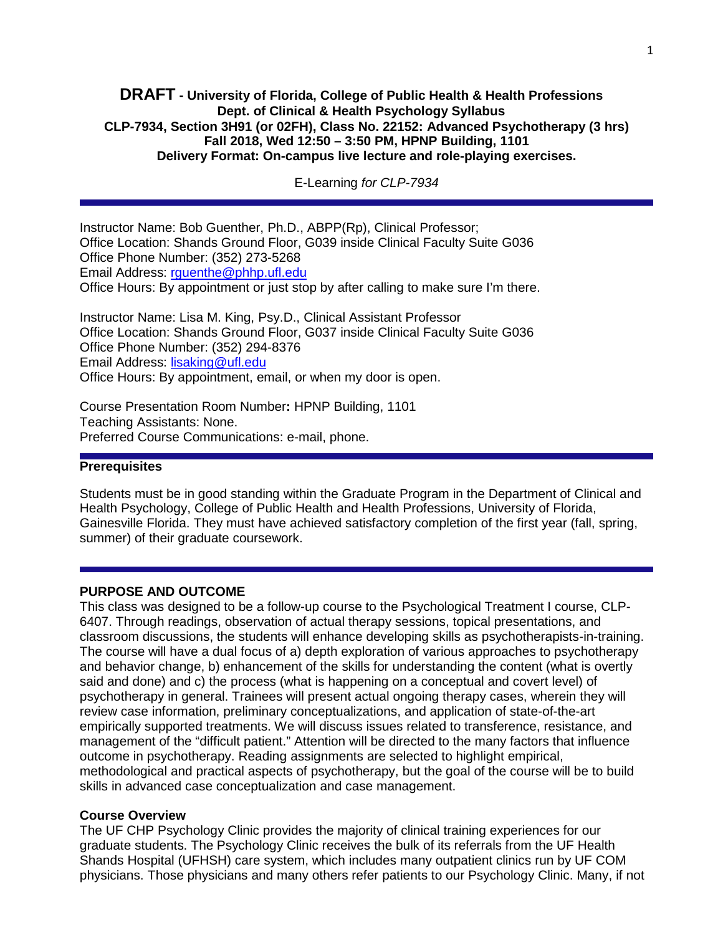## **DRAFT - University of Florida, College of Public Health & Health Professions Dept. of Clinical & Health Psychology Syllabus CLP-7934, Section 3H91 (or 02FH), Class No. 22152: Advanced Psychotherapy (3 hrs) Fall 2018, Wed 12:50 – 3:50 PM, HPNP Building, 1101 Delivery Format: On-campus live lecture and role-playing exercises.**

E-Learning *for CLP-7934*

Instructor Name: Bob Guenther, Ph.D., ABPP(Rp), Clinical Professor; Office Location: Shands Ground Floor, G039 inside Clinical Faculty Suite G036 Office Phone Number: (352) 273-5268 Email Address: [rguenthe@phhp.ufl.edu](mailto:rguenthe@phhp.ufl.edu) Office Hours: By appointment or just stop by after calling to make sure I'm there.

Instructor Name: Lisa M. King, Psy.D., Clinical Assistant Professor Office Location: Shands Ground Floor, G037 inside Clinical Faculty Suite G036 Office Phone Number: (352) 294-8376 Email Address: [lisaking@ufl.edu](mailto:lisaking@ufl.edu) Office Hours: By appointment, email, or when my door is open.

Course Presentation Room Number**:** HPNP Building, 1101 Teaching Assistants: None. Preferred Course Communications: e-mail, phone.

## **Prerequisites**

Students must be in good standing within the Graduate Program in the Department of Clinical and Health Psychology, College of Public Health and Health Professions, University of Florida, Gainesville Florida. They must have achieved satisfactory completion of the first year (fall, spring, summer) of their graduate coursework.

#### **PURPOSE AND OUTCOME**

This class was designed to be a follow-up course to the Psychological Treatment I course, CLP-6407. Through readings, observation of actual therapy sessions, topical presentations, and classroom discussions, the students will enhance developing skills as psychotherapists-in-training. The course will have a dual focus of a) depth exploration of various approaches to psychotherapy and behavior change, b) enhancement of the skills for understanding the content (what is overtly said and done) and c) the process (what is happening on a conceptual and covert level) of psychotherapy in general. Trainees will present actual ongoing therapy cases, wherein they will review case information, preliminary conceptualizations, and application of state-of-the-art empirically supported treatments. We will discuss issues related to transference, resistance, and management of the "difficult patient." Attention will be directed to the many factors that influence outcome in psychotherapy. Reading assignments are selected to highlight empirical, methodological and practical aspects of psychotherapy, but the goal of the course will be to build skills in advanced case conceptualization and case management.

#### **Course Overview**

The UF CHP Psychology Clinic provides the majority of clinical training experiences for our graduate students. The Psychology Clinic receives the bulk of its referrals from the UF Health Shands Hospital (UFHSH) care system, which includes many outpatient clinics run by UF COM physicians. Those physicians and many others refer patients to our Psychology Clinic. Many, if not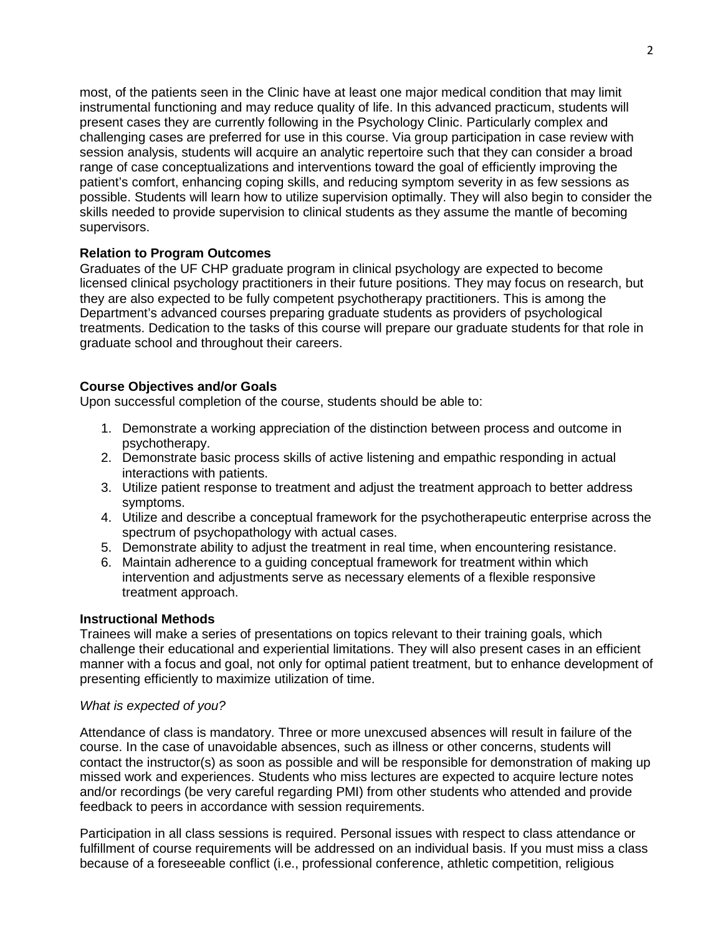most, of the patients seen in the Clinic have at least one major medical condition that may limit instrumental functioning and may reduce quality of life. In this advanced practicum, students will present cases they are currently following in the Psychology Clinic. Particularly complex and challenging cases are preferred for use in this course. Via group participation in case review with session analysis, students will acquire an analytic repertoire such that they can consider a broad range of case conceptualizations and interventions toward the goal of efficiently improving the patient's comfort, enhancing coping skills, and reducing symptom severity in as few sessions as possible. Students will learn how to utilize supervision optimally. They will also begin to consider the skills needed to provide supervision to clinical students as they assume the mantle of becoming supervisors.

# **Relation to Program Outcomes**

Graduates of the UF CHP graduate program in clinical psychology are expected to become licensed clinical psychology practitioners in their future positions. They may focus on research, but they are also expected to be fully competent psychotherapy practitioners. This is among the Department's advanced courses preparing graduate students as providers of psychological treatments. Dedication to the tasks of this course will prepare our graduate students for that role in graduate school and throughout their careers.

## **Course Objectives and/or Goals**

Upon successful completion of the course, students should be able to:

- 1. Demonstrate a working appreciation of the distinction between process and outcome in psychotherapy.
- 2. Demonstrate basic process skills of active listening and empathic responding in actual interactions with patients.
- 3. Utilize patient response to treatment and adjust the treatment approach to better address symptoms.
- 4. Utilize and describe a conceptual framework for the psychotherapeutic enterprise across the spectrum of psychopathology with actual cases.
- 5. Demonstrate ability to adjust the treatment in real time, when encountering resistance.
- 6. Maintain adherence to a guiding conceptual framework for treatment within which intervention and adjustments serve as necessary elements of a flexible responsive treatment approach.

## **Instructional Methods**

Trainees will make a series of presentations on topics relevant to their training goals, which challenge their educational and experiential limitations. They will also present cases in an efficient manner with a focus and goal, not only for optimal patient treatment, but to enhance development of presenting efficiently to maximize utilization of time.

### *What is expected of you?*

Attendance of class is mandatory. Three or more unexcused absences will result in failure of the course. In the case of unavoidable absences, such as illness or other concerns, students will contact the instructor(s) as soon as possible and will be responsible for demonstration of making up missed work and experiences. Students who miss lectures are expected to acquire lecture notes and/or recordings (be very careful regarding PMI) from other students who attended and provide feedback to peers in accordance with session requirements.

Participation in all class sessions is required. Personal issues with respect to class attendance or fulfillment of course requirements will be addressed on an individual basis. If you must miss a class because of a foreseeable conflict (i.e., professional conference, athletic competition, religious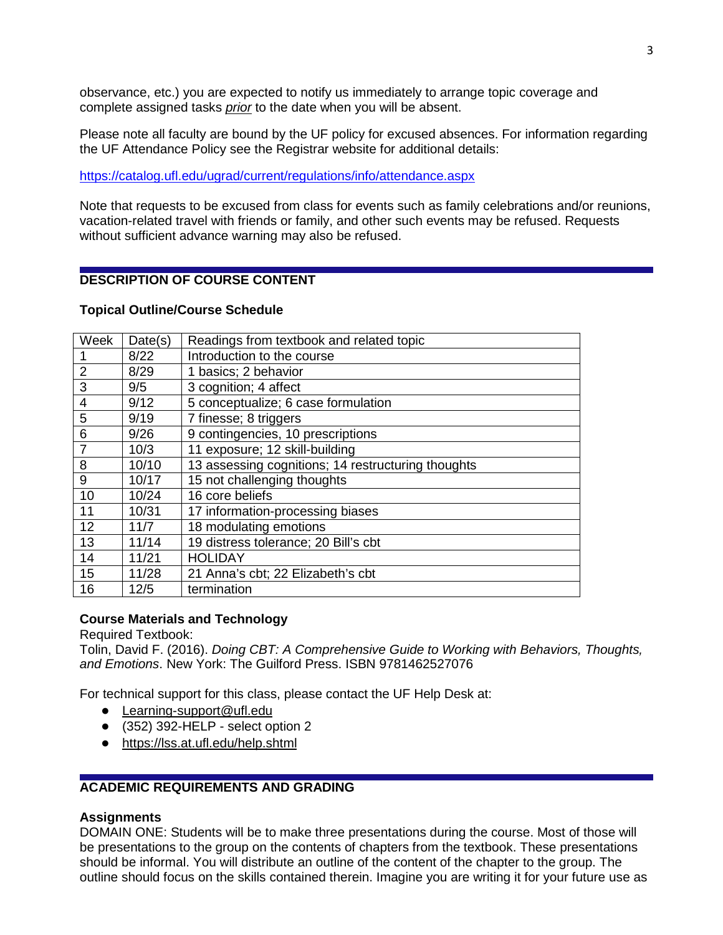observance, etc.) you are expected to notify us immediately to arrange topic coverage and complete assigned tasks *prior* to the date when you will be absent.

Please note all faculty are bound by the UF policy for excused absences. For information regarding the UF Attendance Policy see the Registrar website for additional details:

<https://catalog.ufl.edu/ugrad/current/regulations/info/attendance.aspx>

Note that requests to be excused from class for events such as family celebrations and/or reunions, vacation-related travel with friends or family, and other such events may be refused. Requests without sufficient advance warning may also be refused.

# **DESCRIPTION OF COURSE CONTENT**

#### **Topical Outline/Course Schedule**

| Week           | Date(s) | Readings from textbook and related topic           |
|----------------|---------|----------------------------------------------------|
|                | 8/22    | Introduction to the course                         |
| $\overline{2}$ | 8/29    | 1 basics; 2 behavior                               |
| 3              | 9/5     | 3 cognition; 4 affect                              |
| 4              | 9/12    | 5 conceptualize; 6 case formulation                |
| 5              | 9/19    | 7 finesse; 8 triggers                              |
| 6              | 9/26    | 9 contingencies, 10 prescriptions                  |
| 7              | 10/3    | 11 exposure; 12 skill-building                     |
| 8              | 10/10   | 13 assessing cognitions; 14 restructuring thoughts |
| 9              | 10/17   | 15 not challenging thoughts                        |
| 10             | 10/24   | 16 core beliefs                                    |
| 11             | 10/31   | 17 information-processing biases                   |
| 12             | 11/7    | 18 modulating emotions                             |
| 13             | 11/14   | 19 distress tolerance; 20 Bill's cbt               |
| 14             | 11/21   | <b>HOLIDAY</b>                                     |
| 15             | 11/28   | 21 Anna's cbt; 22 Elizabeth's cbt                  |
| 16             | 12/5    | termination                                        |
|                |         |                                                    |

### **Course Materials and Technology**

Required Textbook:

Tolin, David F. (2016). *Doing CBT: A Comprehensive Guide to Working with Behaviors, Thoughts, and Emotions*. New York: The Guilford Press. ISBN 9781462527076

For technical support for this class, please contact the UF Help Desk at:

- Learning-support@ufl.edu
- $\bullet$  (352) 392-HELP select option 2
- <https://lss.at.ufl.edu/help.shtml>

# **ACADEMIC REQUIREMENTS AND GRADING**

#### **Assignments**

DOMAIN ONE: Students will be to make three presentations during the course. Most of those will be presentations to the group on the contents of chapters from the textbook. These presentations should be informal. You will distribute an outline of the content of the chapter to the group. The outline should focus on the skills contained therein. Imagine you are writing it for your future use as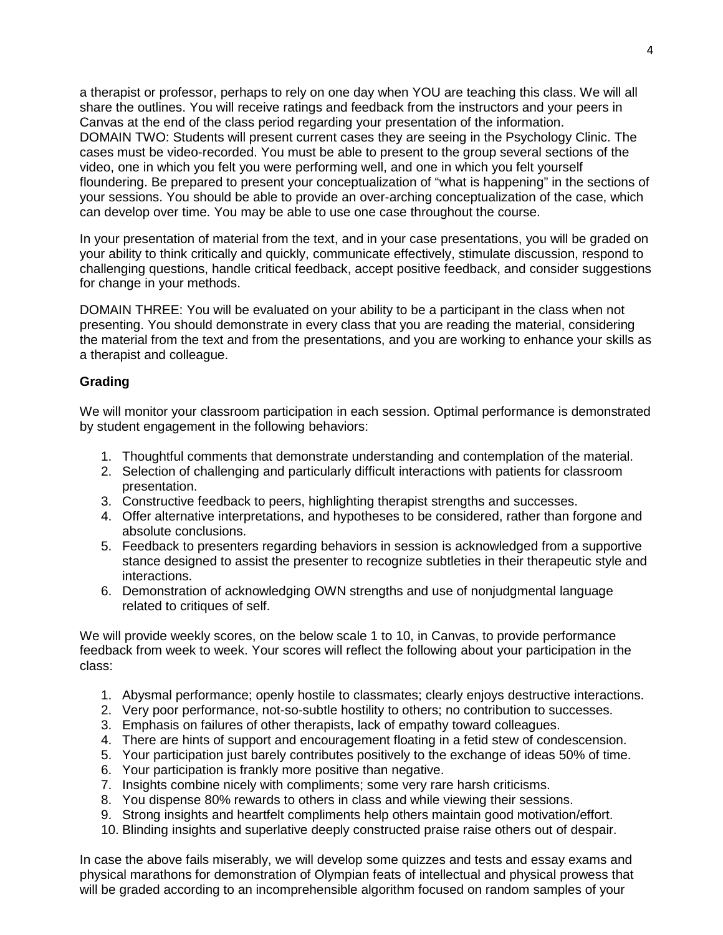a therapist or professor, perhaps to rely on one day when YOU are teaching this class. We will all share the outlines. You will receive ratings and feedback from the instructors and your peers in Canvas at the end of the class period regarding your presentation of the information. DOMAIN TWO: Students will present current cases they are seeing in the Psychology Clinic. The cases must be video-recorded. You must be able to present to the group several sections of the video, one in which you felt you were performing well, and one in which you felt yourself floundering. Be prepared to present your conceptualization of "what is happening" in the sections of your sessions. You should be able to provide an over-arching conceptualization of the case, which can develop over time. You may be able to use one case throughout the course.

In your presentation of material from the text, and in your case presentations, you will be graded on your ability to think critically and quickly, communicate effectively, stimulate discussion, respond to challenging questions, handle critical feedback, accept positive feedback, and consider suggestions for change in your methods.

DOMAIN THREE: You will be evaluated on your ability to be a participant in the class when not presenting. You should demonstrate in every class that you are reading the material, considering the material from the text and from the presentations, and you are working to enhance your skills as a therapist and colleague.

## **Grading**

We will monitor your classroom participation in each session. Optimal performance is demonstrated by student engagement in the following behaviors:

- 1. Thoughtful comments that demonstrate understanding and contemplation of the material.
- 2. Selection of challenging and particularly difficult interactions with patients for classroom presentation.
- 3. Constructive feedback to peers, highlighting therapist strengths and successes.
- 4. Offer alternative interpretations, and hypotheses to be considered, rather than forgone and absolute conclusions.
- 5. Feedback to presenters regarding behaviors in session is acknowledged from a supportive stance designed to assist the presenter to recognize subtleties in their therapeutic style and interactions.
- 6. Demonstration of acknowledging OWN strengths and use of nonjudgmental language related to critiques of self.

We will provide weekly scores, on the below scale 1 to 10, in Canvas, to provide performance feedback from week to week. Your scores will reflect the following about your participation in the class:

- 1. Abysmal performance; openly hostile to classmates; clearly enjoys destructive interactions.
- 2. Very poor performance, not-so-subtle hostility to others; no contribution to successes.
- 3. Emphasis on failures of other therapists, lack of empathy toward colleagues.
- 4. There are hints of support and encouragement floating in a fetid stew of condescension.
- 5. Your participation just barely contributes positively to the exchange of ideas 50% of time.
- 6. Your participation is frankly more positive than negative.
- 7. Insights combine nicely with compliments; some very rare harsh criticisms.
- 8. You dispense 80% rewards to others in class and while viewing their sessions.
- 9. Strong insights and heartfelt compliments help others maintain good motivation/effort.
- 10. Blinding insights and superlative deeply constructed praise raise others out of despair.

In case the above fails miserably, we will develop some quizzes and tests and essay exams and physical marathons for demonstration of Olympian feats of intellectual and physical prowess that will be graded according to an incomprehensible algorithm focused on random samples of your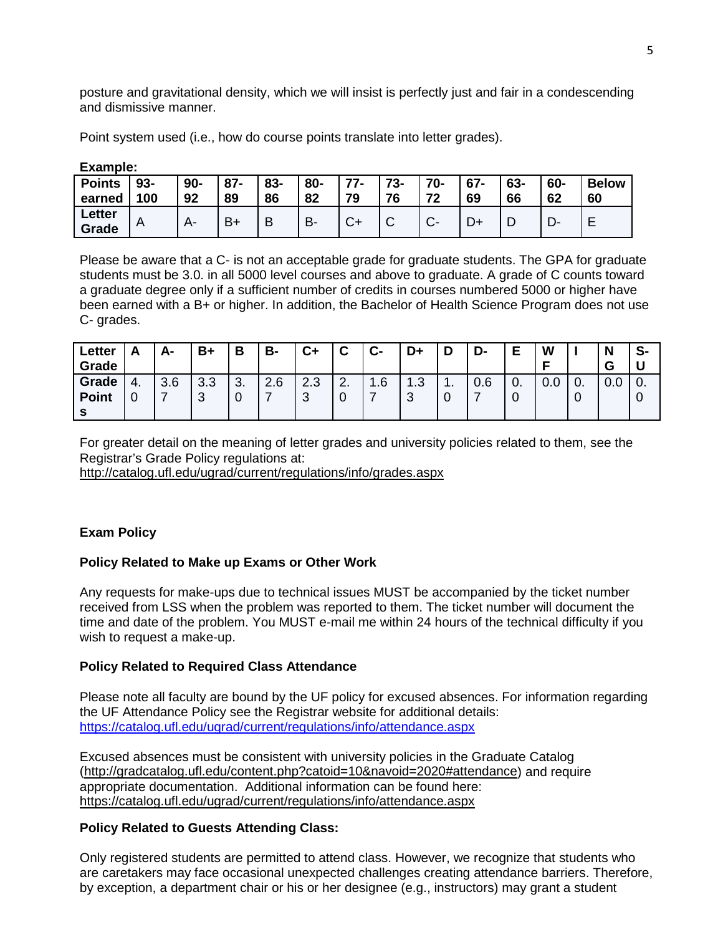posture and gravitational density, which we will insist is perfectly just and fair in a condescending and dismissive manner.

Point system used (i.e., how do course points translate into letter grades).

| ----------    |        |       |        |     |     |           |     |           |        |     |     |              |  |
|---------------|--------|-------|--------|-----|-----|-----------|-----|-----------|--------|-----|-----|--------------|--|
| <b>Points</b> | $93 -$ | $90-$ | $87 -$ | 83- | 80- | 77<br>. . | 73- | 70-       | $67 -$ | 63- | 60- | <b>Below</b> |  |
| earned        | 100    | 92    | 89     | 86  | 82  | 79        | 76  | 72        | 69     | 66  | 62  | 60           |  |
| Letter        | A      |       | $B+$   |     | B-  | $\sim$    |     | ⌒         |        |     |     |              |  |
| Grade         |        |       |        |     |     | v         | ັ   | $\bullet$ |        | L   |     | -            |  |

#### **Example:**

Please be aware that a C- is not an acceptable grade for graduate students. The GPA for graduate students must be 3.0. in all 5000 level courses and above to graduate. A grade of C counts toward a graduate degree only if a sufficient number of credits in courses numbered 5000 or higher have been earned with a B+ or higher. In addition, the Bachelor of Health Science Program does not use C- grades.

| Letter<br>Grade | Δ<br>r. | А-  | $B+$ | D<br>o        | В-  | $c_{+}$    | ◠<br>v        | $C-$     | D+          | D   | D-  | Е        | W   |            | N<br>G   | S-                          |
|-----------------|---------|-----|------|---------------|-----|------------|---------------|----------|-------------|-----|-----|----------|-----|------------|----------|-----------------------------|
| Grade           | 4.      | 3.6 | 3.3  | $\sim$<br>ູບ. | 2.6 | າ າ<br>د.ء | ົ<br><u>.</u> | 1.6<br>л | 1.3         | . . | 0.6 | $\bf{0}$ | 0.0 | $\cdot$ 0. | ∩<br>v.v | $\overline{\phantom{0}}$ 0. |
| <b>Point</b>    |         |     | 3    | ◡             |     | ⌒<br>J     | 0             |          | $\sim$<br>u | ີ   |     | 0        |     | 0          |          | 0                           |
|                 |         |     |      |               |     |            |               |          |             |     |     |          |     |            |          |                             |

For greater detail on the meaning of letter grades and university policies related to them, see the Registrar's Grade Policy regulations at:

<http://catalog.ufl.edu/ugrad/current/regulations/info/grades.aspx>

# **Exam Policy**

### **Policy Related to Make up Exams or Other Work**

Any requests for make-ups due to technical issues MUST be accompanied by the ticket number received from LSS when the problem was reported to them. The ticket number will document the time and date of the problem. You MUST e-mail me within 24 hours of the technical difficulty if you wish to request a make-up.

### **Policy Related to Required Class Attendance**

Please note all faculty are bound by the UF policy for excused absences. For information regarding the UF Attendance Policy see the Registrar website for additional details: <https://catalog.ufl.edu/ugrad/current/regulations/info/attendance.aspx>

Excused absences must be consistent with university policies in the Graduate Catalog [\(http://gradcatalog.ufl.edu/content.php?catoid=10&navoid=2020#attendance\)](http://gradcatalog.ufl.edu/content.php?catoid=10&navoid=2020#attendance) and require appropriate documentation. Additional information can be found here: <https://catalog.ufl.edu/ugrad/current/regulations/info/attendance.aspx>

# **Policy Related to Guests Attending Class:**

Only registered students are permitted to attend class. However, we recognize that students who are caretakers may face occasional unexpected challenges creating attendance barriers. Therefore, by exception, a department chair or his or her designee (e.g., instructors) may grant a student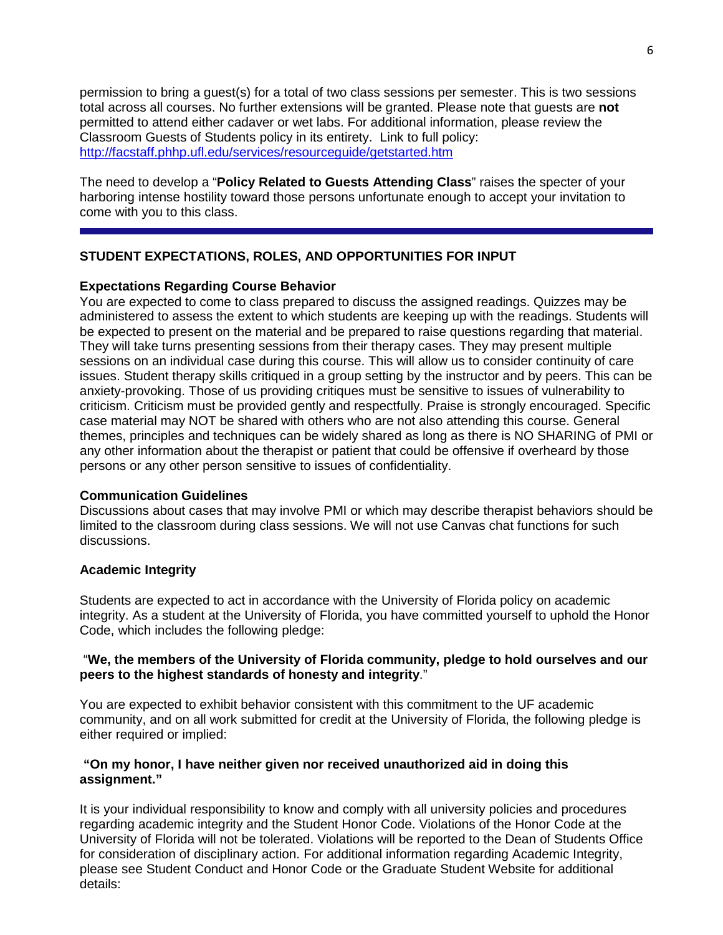permission to bring a guest(s) for a total of two class sessions per semester. This is two sessions total across all courses. No further extensions will be granted. Please note that guests are **not** permitted to attend either cadaver or wet labs. For additional information, please review the Classroom Guests of Students policy in its entirety. Link to full policy: <http://facstaff.phhp.ufl.edu/services/resourceguide/getstarted.htm>

The need to develop a "**Policy Related to Guests Attending Class**" raises the specter of your harboring intense hostility toward those persons unfortunate enough to accept your invitation to come with you to this class.

# **STUDENT EXPECTATIONS, ROLES, AND OPPORTUNITIES FOR INPUT**

## **Expectations Regarding Course Behavior**

You are expected to come to class prepared to discuss the assigned readings. Quizzes may be administered to assess the extent to which students are keeping up with the readings. Students will be expected to present on the material and be prepared to raise questions regarding that material. They will take turns presenting sessions from their therapy cases. They may present multiple sessions on an individual case during this course. This will allow us to consider continuity of care issues. Student therapy skills critiqued in a group setting by the instructor and by peers. This can be anxiety-provoking. Those of us providing critiques must be sensitive to issues of vulnerability to criticism. Criticism must be provided gently and respectfully. Praise is strongly encouraged. Specific case material may NOT be shared with others who are not also attending this course. General themes, principles and techniques can be widely shared as long as there is NO SHARING of PMI or any other information about the therapist or patient that could be offensive if overheard by those persons or any other person sensitive to issues of confidentiality.

### **Communication Guidelines**

Discussions about cases that may involve PMI or which may describe therapist behaviors should be limited to the classroom during class sessions. We will not use Canvas chat functions for such discussions.

### **Academic Integrity**

Students are expected to act in accordance with the University of Florida policy on academic integrity. As a student at the University of Florida, you have committed yourself to uphold the Honor Code, which includes the following pledge:

## "**We, the members of the University of Florida community, pledge to hold ourselves and our peers to the highest standards of honesty and integrity**."

You are expected to exhibit behavior consistent with this commitment to the UF academic community, and on all work submitted for credit at the University of Florida, the following pledge is either required or implied:

## **"On my honor, I have neither given nor received unauthorized aid in doing this assignment."**

It is your individual responsibility to know and comply with all university policies and procedures regarding academic integrity and the Student Honor Code. Violations of the Honor Code at the University of Florida will not be tolerated. Violations will be reported to the Dean of Students Office for consideration of disciplinary action. For additional information regarding Academic Integrity, please see Student Conduct and Honor Code or the Graduate Student Website for additional details: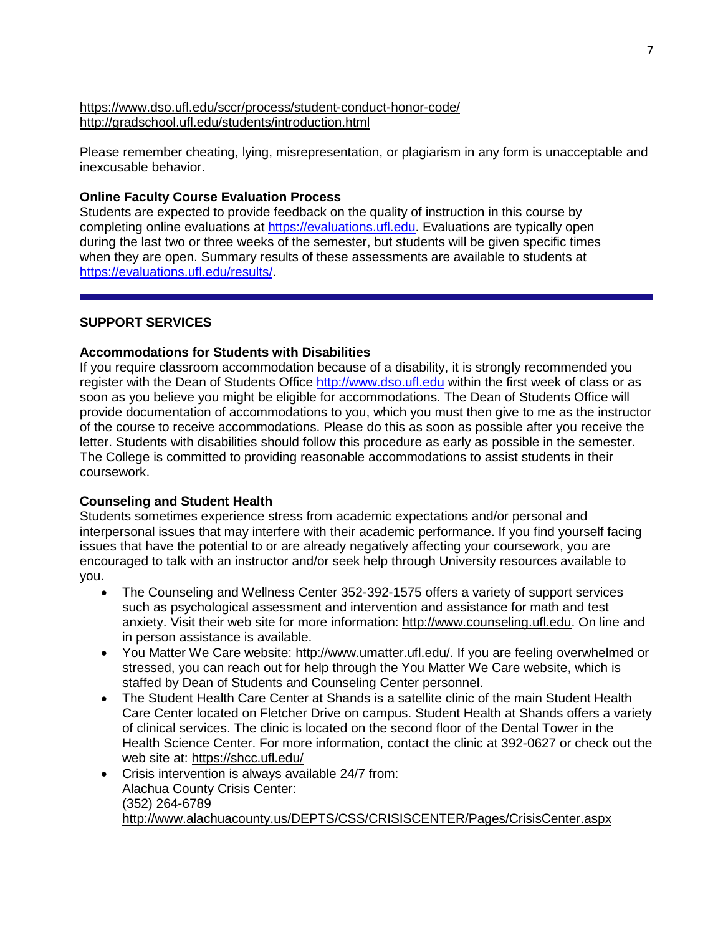<https://www.dso.ufl.edu/sccr/process/student-conduct-honor-code/> <http://gradschool.ufl.edu/students/introduction.html>

Please remember cheating, lying, misrepresentation, or plagiarism in any form is unacceptable and inexcusable behavior.

### **Online Faculty Course Evaluation Process**

Students are expected to provide feedback on the quality of instruction in this course by completing online evaluations at [https://evaluations.ufl.edu.](https://evaluations.ufl.edu/) Evaluations are typically open during the last two or three weeks of the semester, but students will be given specific times when they are open. Summary results of these assessments are available to students at [https://evaluations.ufl.edu/results/.](https://evaluations.ufl.edu/results/)

## **SUPPORT SERVICES**

### **Accommodations for Students with Disabilities**

If you require classroom accommodation because of a disability, it is strongly recommended you register with the Dean of Students Office [http://www.dso.ufl.edu](http://www.dso.ufl.edu/) within the first week of class or as soon as you believe you might be eligible for accommodations. The Dean of Students Office will provide documentation of accommodations to you, which you must then give to me as the instructor of the course to receive accommodations. Please do this as soon as possible after you receive the letter. Students with disabilities should follow this procedure as early as possible in the semester. The College is committed to providing reasonable accommodations to assist students in their coursework.

# **Counseling and Student Health**

Students sometimes experience stress from academic expectations and/or personal and interpersonal issues that may interfere with their academic performance. If you find yourself facing issues that have the potential to or are already negatively affecting your coursework, you are encouraged to talk with an instructor and/or seek help through University resources available to you.

- The Counseling and Wellness Center 352-392-1575 offers a variety of support services such as psychological assessment and intervention and assistance for math and test anxiety. Visit their web site for more information: [http://www.counseling.ufl.edu.](http://www.counseling.ufl.edu/) On line and in person assistance is available.
- You Matter We Care website: [http://www.umatter.ufl.edu/.](http://www.umatter.ufl.edu/) If you are feeling overwhelmed or stressed, you can reach out for help through the You Matter We Care website, which is staffed by Dean of Students and Counseling Center personnel.
- The Student Health Care Center at Shands is a satellite clinic of the main Student Health Care Center located on Fletcher Drive on campus. Student Health at Shands offers a variety of clinical services. The clinic is located on the second floor of the Dental Tower in the Health Science Center. For more information, contact the clinic at 392-0627 or check out the web site at: <https://shcc.ufl.edu/>
- Crisis intervention is always available 24/7 from: Alachua County Crisis Center: (352) 264-6789 <http://www.alachuacounty.us/DEPTS/CSS/CRISISCENTER/Pages/CrisisCenter.aspx>